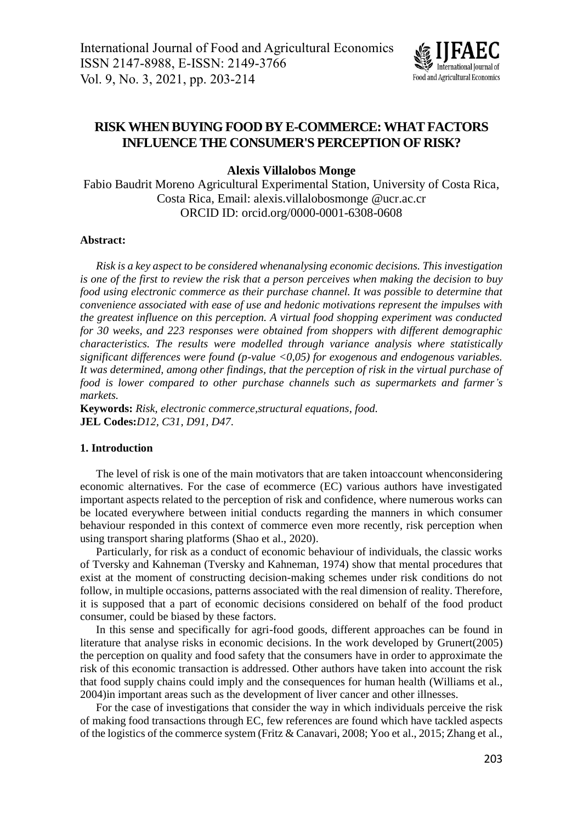

# **RISK WHEN BUYING FOOD BY E-COMMERCE: WHAT FACTORS INFLUENCE THE CONSUMER'S PERCEPTION OF RISK?**

### **Alexis Villalobos Monge**

Fabio Baudrit Moreno Agricultural Experimental Station, University of Costa Rica, Costa Rica, Email: [alexis.villalobosmonge.@ucr.ac.cr](mailto:alexis.villalobosmonge.@ucr.ac.cr) ORCID ID: orcid.org/0000-0001-6308-0608

#### **Abstract:**

*Risk is a key aspect to be considered whenanalysing economic decisions. This investigation is one of the first to review the risk that a person perceives when making the decision to buy food using electronic commerce as their purchase channel. It was possible to determine that convenience associated with ease of use and hedonic motivations represent the impulses with the greatest influence on this perception. A virtual food shopping experiment was conducted for 30 weeks, and 223 responses were obtained from shoppers with different demographic characteristics. The results were modelled through variance analysis where statistically significant differences were found (p-value <0,05) for exogenous and endogenous variables. It was determined, among other findings, that the perception of risk in the virtual purchase of food is lower compared to other purchase channels such as supermarkets and farmer's markets.*

**Keywords:** *Risk, electronic commerce,structural equations, food.* **JEL Codes:***D12, C31, D91, D47.*

#### **1. Introduction**

The level of risk is one of the main motivators that are taken intoaccount whenconsidering economic alternatives. For the case of ecommerce (EC) various authors have investigated important aspects related to the perception of risk and confidence, where numerous works can be located everywhere between initial conducts regarding the manners in which consumer behaviour responded in this context of commerce even more recently, risk perception when using transport sharing platforms (Shao et al., 2020).

Particularly, for risk as a conduct of economic behaviour of individuals, the classic works of Tversky and Kahneman (Tversky and Kahneman, 1974) show that mental procedures that exist at the moment of constructing decision-making schemes under risk conditions do not follow, in multiple occasions, patterns associated with the real dimension of reality. Therefore, it is supposed that a part of economic decisions considered on behalf of the food product consumer, could be biased by these factors.

In this sense and specifically for agri-food goods, different approaches can be found in literature that analyse risks in economic decisions. In the work developed by Grunert(2005) the perception on quality and food safety that the consumers have in order to approximate the risk of this economic transaction is addressed. Other authors have taken into account the risk that food supply chains could imply and the consequences for human health (Williams et al., 2004)in important areas such as the development of liver cancer and other illnesses.

For the case of investigations that consider the way in which individuals perceive the risk of making food transactions through EC, few references are found which have tackled aspects of the logistics of the commerce system (Fritz & Canavari, 2008; Yoo et al., 2015; Zhang et al.,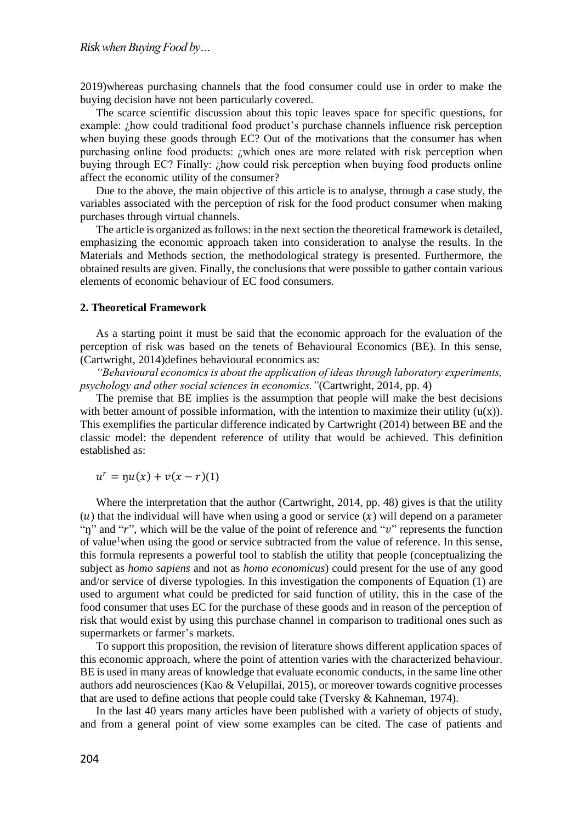2019)whereas purchasing channels that the food consumer could use in order to make the buying decision have not been particularly covered.

The scarce scientific discussion about this topic leaves space for specific questions, for example: ¿how could traditional food product's purchase channels influence risk perception when buying these goods through EC? Out of the motivations that the consumer has when purchasing online food products: ¿which ones are more related with risk perception when buying through EC? Finally: ¿how could risk perception when buying food products online affect the economic utility of the consumer?

Due to the above, the main objective of this article is to analyse, through a case study, the variables associated with the perception of risk for the food product consumer when making purchases through virtual channels.

The article is organized as follows: in the next section the theoretical framework is detailed, emphasizing the economic approach taken into consideration to analyse the results. In the Materials and Methods section, the methodological strategy is presented. Furthermore, the obtained results are given. Finally, the conclusions that were possible to gather contain various elements of economic behaviour of EC food consumers.

#### **2. Theoretical Framework**

As a starting point it must be said that the economic approach for the evaluation of the perception of risk was based on the tenets of Behavioural Economics (BE). In this sense, (Cartwright, 2014)defines behavioural economics as:

*"Behavioural economics is about the application of ideas through laboratory experiments, psychology and other social sciences in economics."*(Cartwright, 2014, pp. 4)

The premise that BE implies is the assumption that people will make the best decisions with better amount of possible information, with the intention to maximize their utility  $(u(x))$ . This exemplifies the particular difference indicated by Cartwright (2014) between BE and the classic model: the dependent reference of utility that would be achieved. This definition established as:

 $u^r = \eta u(x) + v(x - r)(1)$ 

Where the interpretation that the author (Cartwright, 2014, pp. 48) gives is that the utility (u) that the individual will have when using a good or service  $(x)$  will depend on a parameter "n" and "r", which will be the value of the point of reference and "v" represents the function of value<sup>1</sup>when using the good or service subtracted from the value of reference. In this sense, this formula represents a powerful tool to stablish the utility that people (conceptualizing the subject as *homo sapiens* and not as *homo economicus*) could present for the use of any good and/or service of diverse typologies. In this investigation the components of Equation (1) are used to argument what could be predicted for said function of utility, this in the case of the food consumer that uses EC for the purchase of these goods and in reason of the perception of risk that would exist by using this purchase channel in comparison to traditional ones such as supermarkets or farmer's markets.

To support this proposition, the revision of literature shows different application spaces of this economic approach, where the point of attention varies with the characterized behaviour. BE is used in many areas of knowledge that evaluate economic conducts, in the same line other authors add neurosciences (Kao & Velupillai, 2015), or moreover towards cognitive processes that are used to define actions that people could take (Tversky & Kahneman, 1974).

In the last 40 years many articles have been published with a variety of objects of study, and from a general point of view some examples can be cited. The case of patients and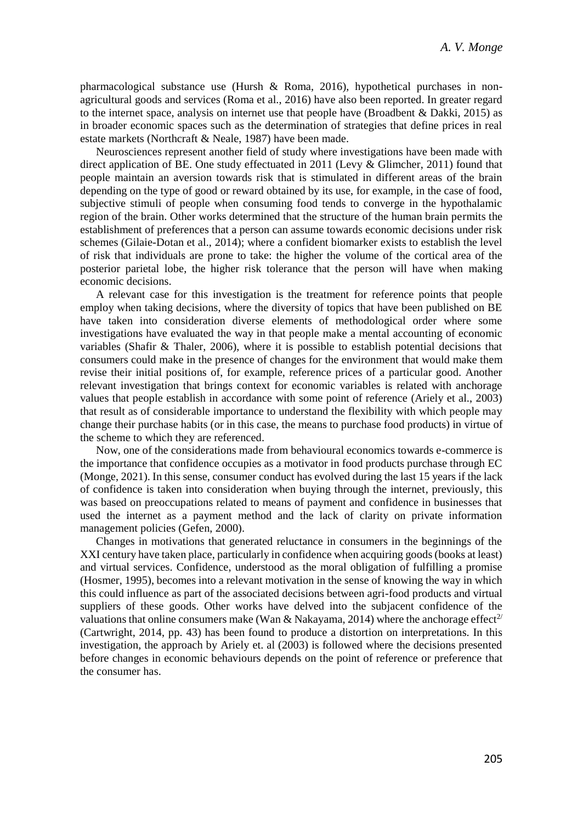pharmacological substance use (Hursh & Roma, 2016), hypothetical purchases in nonagricultural goods and services (Roma et al., 2016) have also been reported. In greater regard to the internet space, analysis on internet use that people have (Broadbent & Dakki, 2015) as in broader economic spaces such as the determination of strategies that define prices in real estate markets (Northcraft & Neale, 1987) have been made.

Neurosciences represent another field of study where investigations have been made with direct application of BE. One study effectuated in 2011 (Levy & Glimcher, 2011) found that people maintain an aversion towards risk that is stimulated in different areas of the brain depending on the type of good or reward obtained by its use, for example, in the case of food, subjective stimuli of people when consuming food tends to converge in the hypothalamic region of the brain. Other works determined that the structure of the human brain permits the establishment of preferences that a person can assume towards economic decisions under risk schemes (Gilaie-Dotan et al., 2014); where a confident biomarker exists to establish the level of risk that individuals are prone to take: the higher the volume of the cortical area of the posterior parietal lobe, the higher risk tolerance that the person will have when making economic decisions.

A relevant case for this investigation is the treatment for reference points that people employ when taking decisions, where the diversity of topics that have been published on BE have taken into consideration diverse elements of methodological order where some investigations have evaluated the way in that people make a mental accounting of economic variables (Shafir & Thaler, 2006), where it is possible to establish potential decisions that consumers could make in the presence of changes for the environment that would make them revise their initial positions of, for example, reference prices of a particular good. Another relevant investigation that brings context for economic variables is related with anchorage values that people establish in accordance with some point of reference (Ariely et al., 2003) that result as of considerable importance to understand the flexibility with which people may change their purchase habits (or in this case, the means to purchase food products) in virtue of the scheme to which they are referenced.

Now, one of the considerations made from behavioural economics towards e-commerce is the importance that confidence occupies as a motivator in food products purchase through EC (Monge, 2021). In this sense, consumer conduct has evolved during the last 15 years if the lack of confidence is taken into consideration when buying through the internet, previously, this was based on preoccupations related to means of payment and confidence in businesses that used the internet as a payment method and the lack of clarity on private information management policies (Gefen, 2000).

Changes in motivations that generated reluctance in consumers in the beginnings of the XXI century have taken place, particularly in confidence when acquiring goods (books at least) and virtual services. Confidence, understood as the moral obligation of fulfilling a promise (Hosmer, 1995), becomes into a relevant motivation in the sense of knowing the way in which this could influence as part of the associated decisions between agri-food products and virtual suppliers of these goods. Other works have delved into the subjacent confidence of the valuations that online consumers make (Wan & Nakayama, 2014) where the anchorage effect<sup>2/</sup> (Cartwright, 2014, pp. 43) has been found to produce a distortion on interpretations. In this investigation, the approach by Ariely et. al (2003) is followed where the decisions presented before changes in economic behaviours depends on the point of reference or preference that the consumer has.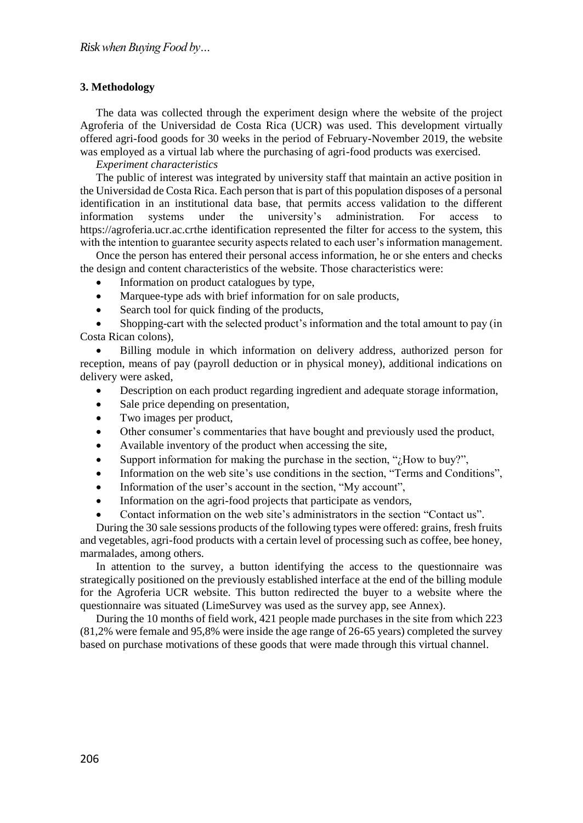# **3. Methodology**

The data was collected through the experiment design where the website of the project Agroferia of the Universidad de Costa Rica (UCR) was used. This development virtually offered agri-food goods for 30 weeks in the period of February-November 2019, the website was employed as a virtual lab where the purchasing of agri-food products was exercised.

### *Experiment characteristics*

The public of interest was integrated by university staff that maintain an active position in the Universidad de Costa Rica. Each person that is part of this population disposes of a personal identification in an institutional data base, that permits access validation to the different information systems under the university's administration. For access to https://agroferia.ucr.ac.crthe identification represented the filter for access to the system, this with the intention to guarantee security aspects related to each user's information management.

Once the person has entered their personal access information, he or she enters and checks the design and content characteristics of the website. Those characteristics were:

- Information on product catalogues by type,
- Marquee-type ads with brief information for on sale products,
- Search tool for quick finding of the products,

 Shopping-cart with the selected product's information and the total amount to pay (in Costa Rican colons),

 Billing module in which information on delivery address, authorized person for reception, means of pay (payroll deduction or in physical money), additional indications on delivery were asked,

- Description on each product regarding ingredient and adequate storage information,
- Sale price depending on presentation,
- Two images per product,
- Other consumer's commentaries that have bought and previously used the product,
- Available inventory of the product when accessing the site,
- Support information for making the purchase in the section, "¿How to buy?",
- Information on the web site's use conditions in the section, "Terms and Conditions",
- Information of the user's account in the section, "My account",
- Information on the agri-food projects that participate as vendors,
- Contact information on the web site's administrators in the section "Contact us".

During the 30 sale sessions products of the following types were offered: grains, fresh fruits and vegetables, agri-food products with a certain level of processing such as coffee, bee honey, marmalades, among others.

In attention to the survey, a button identifying the access to the questionnaire was strategically positioned on the previously established interface at the end of the billing module for the Agroferia UCR website. This button redirected the buyer to a website where the questionnaire was situated (LimeSurvey was used as the survey app, see Annex).

During the 10 months of field work, 421 people made purchases in the site from which 223 (81,2% were female and 95,8% were inside the age range of 26-65 years) completed the survey based on purchase motivations of these goods that were made through this virtual channel.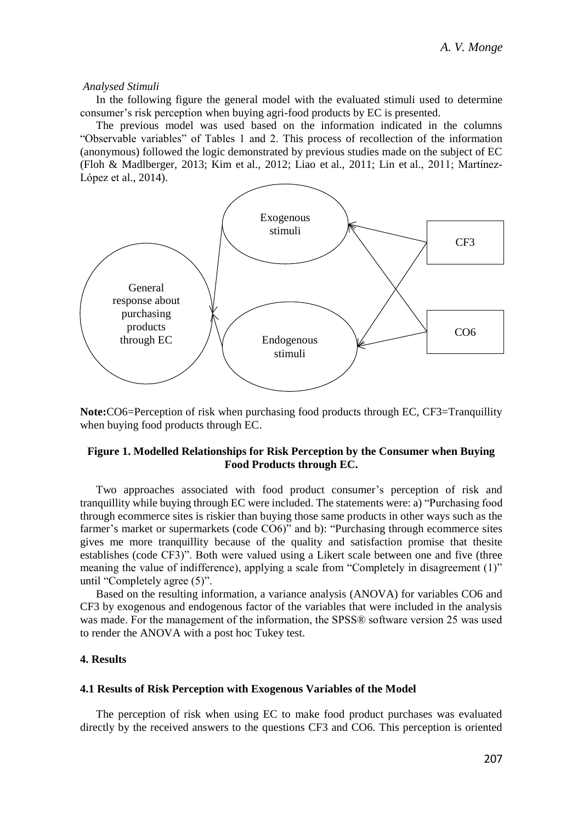#### *Analysed Stimuli*

In the following figure the general model with the evaluated stimuli used to determine consumer's risk perception when buying agri-food products by EC is presented.

The previous model was used based on the information indicated in the columns "Observable variables" of Tables 1 and 2. This process of recollection of the information (anonymous) followed the logic demonstrated by previous studies made on the subject of EC (Floh & Madlberger, 2013; Kim et al., 2012; Liao et al., 2011; Lin et al., 2011; Martínez-López et al., 2014).



**Note:**CO6=Perception of risk when purchasing food products through EC, CF3=Tranquillity when buying food products through EC.

# **Figure 1. Modelled Relationships for Risk Perception by the Consumer when Buying Food Products through EC.**

Two approaches associated with food product consumer's perception of risk and tranquillity while buying through EC were included. The statements were: a) "Purchasing food through ecommerce sites is riskier than buying those same products in other ways such as the farmer's market or supermarkets (code CO6)" and b): "Purchasing through ecommerce sites gives me more tranquillity because of the quality and satisfaction promise that thesite establishes (code CF3)". Both were valued using a Likert scale between one and five (three meaning the value of indifference), applying a scale from "Completely in disagreement (1)" until "Completely agree (5)".

Based on the resulting information, a variance analysis (ANOVA) for variables CO6 and CF3 by exogenous and endogenous factor of the variables that were included in the analysis was made. For the management of the information, the SPSS® software version 25 was used to render the ANOVA with a post hoc Tukey test.

# **4. Results**

#### **4.1 Results of Risk Perception with Exogenous Variables of the Model**

The perception of risk when using EC to make food product purchases was evaluated directly by the received answers to the questions CF3 and CO6. This perception is oriented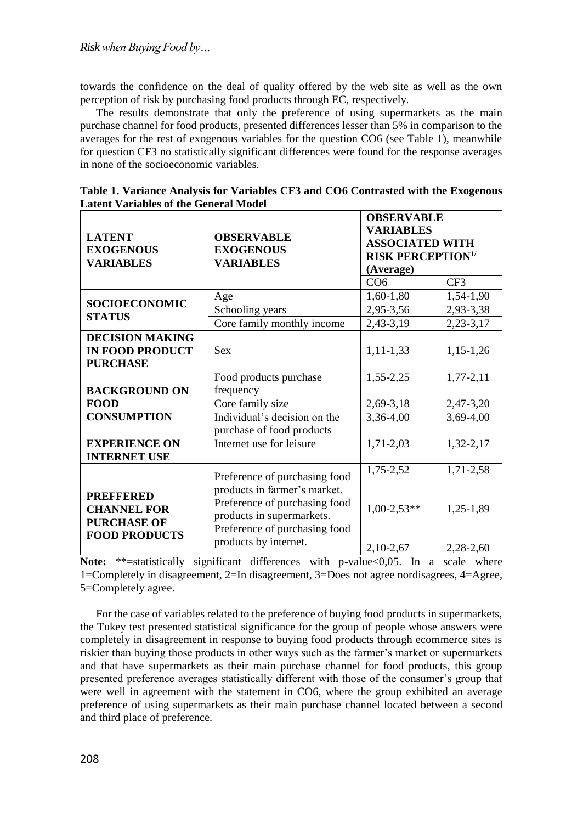towards the confidence on the deal of quality offered by the web site as well as the own perception of risk by purchasing food products through EC, respectively.

The results demonstrate that only the preference of using supermarkets as the main purchase channel for food products, presented differences lesser than 5% in comparison to the averages for the rest of exogenous variables for the question CO6 (see Table 1), meanwhile for question CF3 no statistically significant differences were found for the response averages in none of the socioeconomic variables.

| <b>LATENT</b><br><b>EXOGENOUS</b><br><b>VARIABLES</b>                                | <b>OBSERVABLE</b><br><b>EXOGENOUS</b><br><b>VARIABLES</b>                                                                                                                             | <b>OBSERVABLE</b><br><b>VARIABLES</b><br><b>ASSOCIATED WITH</b><br><b>RISK PERCEPTION<sup>1/</sup></b><br>(Average) |                                     |  |
|--------------------------------------------------------------------------------------|---------------------------------------------------------------------------------------------------------------------------------------------------------------------------------------|---------------------------------------------------------------------------------------------------------------------|-------------------------------------|--|
|                                                                                      |                                                                                                                                                                                       | CO6                                                                                                                 | CF3                                 |  |
| <b>SOCIOECONOMIC</b><br><b>STATUS</b>                                                | Age                                                                                                                                                                                   | $1,60-1,80$                                                                                                         | 1,54-1,90                           |  |
|                                                                                      | Schooling years                                                                                                                                                                       | 2,95-3,56                                                                                                           | 2,93-3,38                           |  |
|                                                                                      | Core family monthly income                                                                                                                                                            | 2,43-3,19                                                                                                           | $2,23-3,17$                         |  |
| <b>DECISION MAKING</b><br><b>IN FOOD PRODUCT</b><br><b>PURCHASE</b>                  | <b>Sex</b>                                                                                                                                                                            | $1, 11 - 1, 33$                                                                                                     | $1,15-1,26$                         |  |
|                                                                                      | Food products purchase                                                                                                                                                                | 1,55-2,25                                                                                                           | $1,77-2,11$                         |  |
| <b>BACKGROUND ON</b>                                                                 | frequency                                                                                                                                                                             |                                                                                                                     |                                     |  |
| <b>FOOD</b>                                                                          | Core family size                                                                                                                                                                      | 2,69-3,18                                                                                                           | 2,47-3,20                           |  |
| <b>CONSUMPTION</b>                                                                   | Individual's decision on the<br>purchase of food products                                                                                                                             | 3,36-4,00                                                                                                           | 3,69-4,00                           |  |
| <b>EXPERIENCE ON</b><br><b>INTERNET USE</b>                                          | Internet use for leisure                                                                                                                                                              | 1,71-2,03                                                                                                           | 1,32-2,17                           |  |
| <b>PREFFERED</b><br><b>CHANNEL FOR</b><br><b>PURCHASE OF</b><br><b>FOOD PRODUCTS</b> | Preference of purchasing food<br>products in farmer's market.<br>Preference of purchasing food<br>products in supermarkets.<br>Preference of purchasing food<br>products by internet. | 1,75-2,52<br>$1,00-2,53**$<br>$2,10-2,67$                                                                           | 1,71-2,58<br>1,25-1,89<br>2,28-2,60 |  |

**Table 1. Variance Analysis for Variables CF3 and CO6 Contrasted with the Exogenous Latent Variables of the General Model**

**Note:** \*\*=statistically significant differences with p-value <0,05. In a scale where 1=Completely in disagreement, 2=In disagreement, 3=Does not agree nordisagrees, 4=Agree, 5=Completely agree.

For the case of variables related to the preference of buying food products in supermarkets, the Tukey test presented statistical significance for the group of people whose answers were completely in disagreement in response to buying food products through ecommerce sites is riskier than buying those products in other ways such as the farmer's market or supermarkets and that have supermarkets as their main purchase channel for food products, this group presented preference averages statistically different with those of the consumer's group that were well in agreement with the statement in CO6, where the group exhibited an average preference of using supermarkets as their main purchase channel located between a second and third place of preference.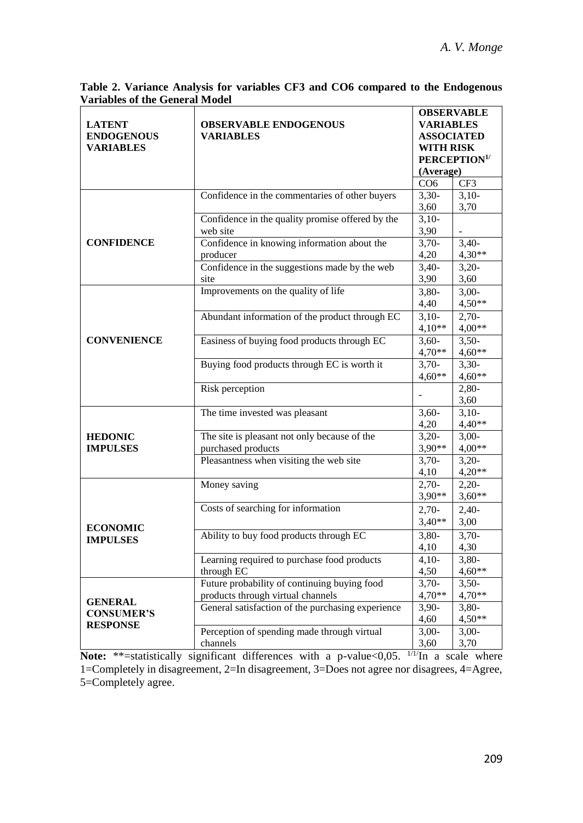$3,10-$ 3,70

3,40- 4,30\*\*

3,20- 3,60

3,00- 4,50\*\*

 $2.70-$ 4,00\*\*

3,50- 4,60\*\*

3,30- 4,60\*\*

2,80- 3,60

 $3,10-$ 4,40\*\*

3,00- 4,00\*\*

3,20- 4,20\*\*

2,20- 3,60\*\*

3,60

3,10- 3,90

3,70- 4,20

3,40- 3,90

4,40

4,10\*\*

4,70\*\*

4,60\*\*

4,20

3,20- 3,90\*\*

4,10

3,90\*\*

-

|                                       | Table 2. Variance Analysis for variables CF3 and CO6 compared to the Endogenous |                          |
|---------------------------------------|---------------------------------------------------------------------------------|--------------------------|
| <b>Variables of the General Model</b> |                                                                                 |                          |
|                                       |                                                                                 | <b>OBSERVABLE</b>        |
| <b>LATENT</b>                         | <b>OBSERVABLE ENDOGENOUS</b>                                                    | <b>VARIABLES</b>         |
| <b>ENDOGENOUS</b>                     | <b>VARIABLES</b>                                                                | <b>ASSOCIATED</b>        |
| <b>VARIABLES</b>                      |                                                                                 | <b>WITH RISK</b>         |
|                                       |                                                                                 | PERCEPTION <sup>1/</sup> |
|                                       |                                                                                 | (Average)                |
|                                       |                                                                                 | CF3<br>CO6               |

Confidence in the commentaries of other buyers 3,30-

Improvements on the quality of life 3,80-

Abundant information of the product through  $EC \begin{bmatrix} 3,10 \end{bmatrix}$ 

Easiness of buying food products through EC 3,60-

Buying food products through EC is worth it 3,70-

The time invested was pleasant 3,60-

Pleasantness when visiting the web site 3,70-

Money saving 2,70-

Confidence in the quality promise offered by the

Confidence in knowing information about the

Confidence in the suggestions made by the web

web site

producer

Risk perception

purchased products

site

**CONFIDENCE**

**CONVENIENCE**

**HEDONIC IMPULSES**

**Table 2. Variance Analysis for variables CF3 and CO6 compared to the Endogenous** 

| <b>ECONOMIC</b><br><b>IMPULSES</b>                     | Costs of searching for information                | $2,70-$<br>$3.40**$ | $2,40-$<br>3,00 |
|--------------------------------------------------------|---------------------------------------------------|---------------------|-----------------|
|                                                        | Ability to buy food products through EC           | $3,80-$<br>4,10     | $3,70-$<br>4,30 |
|                                                        | Learning required to purchase food products       | $4,10-$             | $3,80-$         |
|                                                        | through EC                                        | 4,50                | $4,60**$        |
| <b>GENERAL</b><br><b>CONSUMER'S</b><br><b>RESPONSE</b> | Future probability of continuing buying food      | $3,70-$             | $3,50-$         |
|                                                        | products through virtual channels                 | $4.70**$            | $4.70**$        |
|                                                        | General satisfaction of the purchasing experience | $3,90-$             | $3,80-$         |
|                                                        |                                                   | 4,60                | $4.50**$        |
|                                                        | Perception of spending made through virtual       | $3,00-$             | $3,00-$         |
|                                                        | channels                                          | 3.60                | 3,70            |

The site is pleasant not only because of the

**Note:** \*\*=statistically significant differences with a p-value<0,05.  $\frac{1}{11}$ In a scale where 1=Completely in disagreement, 2=In disagreement, 3=Does not agree nor disagrees, 4=Agree, 5=Completely agree.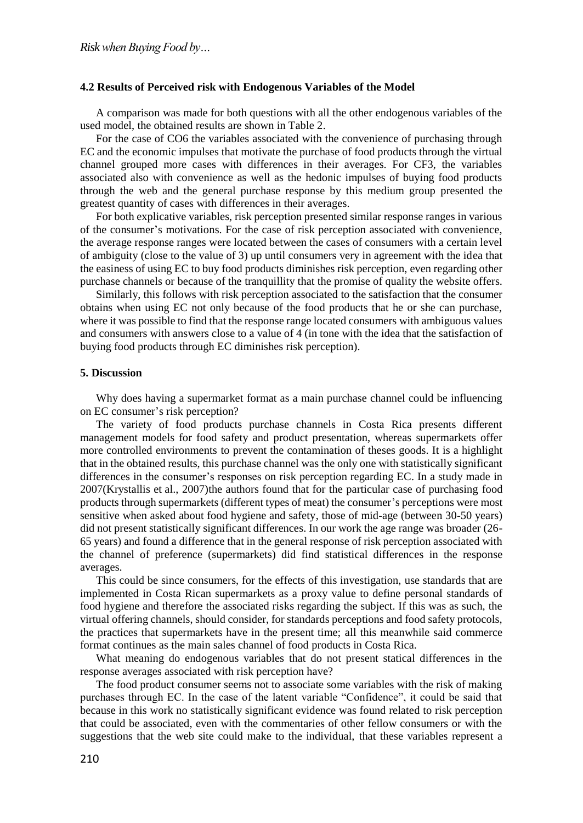#### **4.2 Results of Perceived risk with Endogenous Variables of the Model**

A comparison was made for both questions with all the other endogenous variables of the used model, the obtained results are shown in Table 2.

For the case of CO6 the variables associated with the convenience of purchasing through EC and the economic impulses that motivate the purchase of food products through the virtual channel grouped more cases with differences in their averages. For CF3, the variables associated also with convenience as well as the hedonic impulses of buying food products through the web and the general purchase response by this medium group presented the greatest quantity of cases with differences in their averages.

For both explicative variables, risk perception presented similar response ranges in various of the consumer's motivations. For the case of risk perception associated with convenience, the average response ranges were located between the cases of consumers with a certain level of ambiguity (close to the value of 3) up until consumers very in agreement with the idea that the easiness of using EC to buy food products diminishes risk perception, even regarding other purchase channels or because of the tranquillity that the promise of quality the website offers.

Similarly, this follows with risk perception associated to the satisfaction that the consumer obtains when using EC not only because of the food products that he or she can purchase, where it was possible to find that the response range located consumers with ambiguous values and consumers with answers close to a value of 4 (in tone with the idea that the satisfaction of buying food products through EC diminishes risk perception).

#### **5. Discussion**

Why does having a supermarket format as a main purchase channel could be influencing on EC consumer's risk perception?

The variety of food products purchase channels in Costa Rica presents different management models for food safety and product presentation, whereas supermarkets offer more controlled environments to prevent the contamination of theses goods. It is a highlight that in the obtained results, this purchase channel was the only one with statistically significant differences in the consumer's responses on risk perception regarding EC. In a study made in 2007(Krystallis et al., 2007)the authors found that for the particular case of purchasing food products through supermarkets (different types of meat) the consumer's perceptions were most sensitive when asked about food hygiene and safety, those of mid-age (between 30-50 years) did not present statistically significant differences. In our work the age range was broader (26- 65 years) and found a difference that in the general response of risk perception associated with the channel of preference (supermarkets) did find statistical differences in the response averages.

This could be since consumers, for the effects of this investigation, use standards that are implemented in Costa Rican supermarkets as a proxy value to define personal standards of food hygiene and therefore the associated risks regarding the subject. If this was as such, the virtual offering channels, should consider, for standards perceptions and food safety protocols, the practices that supermarkets have in the present time; all this meanwhile said commerce format continues as the main sales channel of food products in Costa Rica.

What meaning do endogenous variables that do not present statical differences in the response averages associated with risk perception have?

The food product consumer seems not to associate some variables with the risk of making purchases through EC. In the case of the latent variable "Confidence", it could be said that because in this work no statistically significant evidence was found related to risk perception that could be associated, even with the commentaries of other fellow consumers or with the suggestions that the web site could make to the individual, that these variables represent a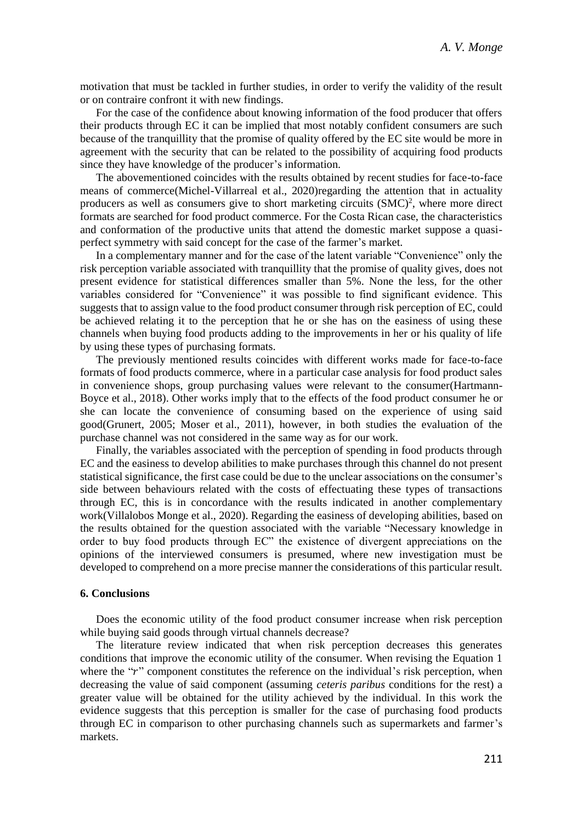motivation that must be tackled in further studies, in order to verify the validity of the result or on contraire confront it with new findings.

For the case of the confidence about knowing information of the food producer that offers their products through EC it can be implied that most notably confident consumers are such because of the tranquillity that the promise of quality offered by the EC site would be more in agreement with the security that can be related to the possibility of acquiring food products since they have knowledge of the producer's information.

The abovementioned coincides with the results obtained by recent studies for face-to-face means of commerce(Michel-Villarreal et al., 2020)regarding the attention that in actuality producers as well as consumers give to short marketing circuits (SMC) 2 , where more direct formats are searched for food product commerce. For the Costa Rican case, the characteristics and conformation of the productive units that attend the domestic market suppose a quasiperfect symmetry with said concept for the case of the farmer's market.

In a complementary manner and for the case of the latent variable "Convenience" only the risk perception variable associated with tranquillity that the promise of quality gives, does not present evidence for statistical differences smaller than 5%. None the less, for the other variables considered for "Convenience" it was possible to find significant evidence. This suggests that to assign value to the food product consumer through risk perception of EC, could be achieved relating it to the perception that he or she has on the easiness of using these channels when buying food products adding to the improvements in her or his quality of life by using these types of purchasing formats.

The previously mentioned results coincides with different works made for face-to-face formats of food products commerce, where in a particular case analysis for food product sales in convenience shops, group purchasing values were relevant to the consumer(Hartmann-Boyce et al., 2018). Other works imply that to the effects of the food product consumer he or she can locate the convenience of consuming based on the experience of using said good(Grunert, 2005; Moser et al., 2011), however, in both studies the evaluation of the purchase channel was not considered in the same way as for our work.

Finally, the variables associated with the perception of spending in food products through EC and the easiness to develop abilities to make purchases through this channel do not present statistical significance, the first case could be due to the unclear associations on the consumer's side between behaviours related with the costs of effectuating these types of transactions through EC, this is in concordance with the results indicated in another complementary work(Villalobos Monge et al., 2020). Regarding the easiness of developing abilities, based on the results obtained for the question associated with the variable "Necessary knowledge in order to buy food products through EC" the existence of divergent appreciations on the opinions of the interviewed consumers is presumed, where new investigation must be developed to comprehend on a more precise manner the considerations of this particular result.

#### **6. Conclusions**

Does the economic utility of the food product consumer increase when risk perception while buying said goods through virtual channels decrease?

The literature review indicated that when risk perception decreases this generates conditions that improve the economic utility of the consumer. When revising the Equation 1 where the " $r$ " component constitutes the reference on the individual's risk perception, when decreasing the value of said component (assuming *ceteris paribus* conditions for the rest) a greater value will be obtained for the utility achieved by the individual. In this work the evidence suggests that this perception is smaller for the case of purchasing food products through EC in comparison to other purchasing channels such as supermarkets and farmer's markets.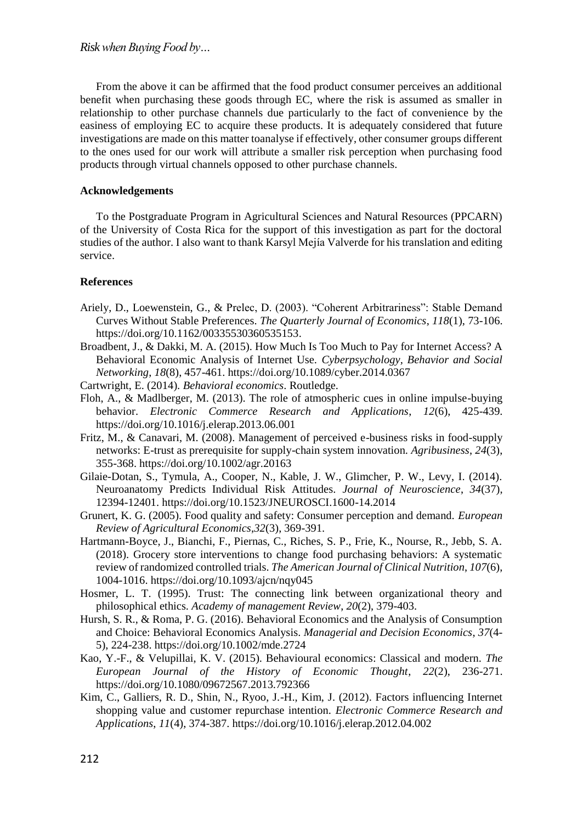From the above it can be affirmed that the food product consumer perceives an additional benefit when purchasing these goods through EC, where the risk is assumed as smaller in relationship to other purchase channels due particularly to the fact of convenience by the easiness of employing EC to acquire these products. It is adequately considered that future investigations are made on this matter toanalyse if effectively, other consumer groups different to the ones used for our work will attribute a smaller risk perception when purchasing food products through virtual channels opposed to other purchase channels.

### **Acknowledgements**

To the Postgraduate Program in Agricultural Sciences and Natural Resources (PPCARN) of the University of Costa Rica for the support of this investigation as part for the doctoral studies of the author. I also want to thank Karsyl Mejía Valverde for his translation and editing service.

# **References**

- Ariely, D., Loewenstein, G., & Prelec, D. (2003). "Coherent Arbitrariness": Stable Demand Curves Without Stable Preferences. *The Quarterly Journal of Economics*, *118*(1), 73-106. https://doi.org/10.1162/00335530360535153.
- Broadbent, J., & Dakki, M. A. (2015). How Much Is Too Much to Pay for Internet Access? A Behavioral Economic Analysis of Internet Use. *Cyberpsychology, Behavior and Social Networking*, *18*(8), 457-461. https://doi.org/10.1089/cyber.2014.0367
- Cartwright, E. (2014). *Behavioral economics*. Routledge.
- Floh, A., & Madlberger, M. (2013). The role of atmospheric cues in online impulse-buying behavior. *Electronic Commerce Research and Applications*, *12*(6), 425-439. https://doi.org/10.1016/j.elerap.2013.06.001
- Fritz, M., & Canavari, M. (2008). Management of perceived e-business risks in food-supply networks: E-trust as prerequisite for supply-chain system innovation. *Agribusiness*, *24*(3), 355-368. https://doi.org/10.1002/agr.20163
- Gilaie-Dotan, S., Tymula, A., Cooper, N., Kable, J. W., Glimcher, P. W., Levy, I. (2014). Neuroanatomy Predicts Individual Risk Attitudes. *Journal of Neuroscience*, *34*(37), 12394-12401. https://doi.org/10.1523/JNEUROSCI.1600-14.2014
- Grunert, K. G. (2005). Food quality and safety: Consumer perception and demand. *European Review of Agricultural Economics*,*32*(3), 369-391.
- Hartmann-Boyce, J., Bianchi, F., Piernas, C., Riches, S. P., Frie, K., Nourse, R., Jebb, S. A. (2018). Grocery store interventions to change food purchasing behaviors: A systematic review of randomized controlled trials. *The American Journal of Clinical Nutrition*, *107*(6), 1004-1016. https://doi.org/10.1093/ajcn/nqy045
- Hosmer, L. T. (1995). Trust: The connecting link between organizational theory and philosophical ethics. *Academy of management Review*, *20*(2), 379-403.
- Hursh, S. R., & Roma, P. G. (2016). Behavioral Economics and the Analysis of Consumption and Choice: Behavioral Economics Analysis. *Managerial and Decision Economics*, *37*(4- 5), 224-238. https://doi.org/10.1002/mde.2724
- Kao, Y.-F., & Velupillai, K. V. (2015). Behavioural economics: Classical and modern. *The European Journal of the History of Economic Thought*, *22*(2), 236-271. https://doi.org/10.1080/09672567.2013.792366
- Kim, C., Galliers, R. D., Shin, N., Ryoo, J.-H., Kim, J. (2012). Factors influencing Internet shopping value and customer repurchase intention. *Electronic Commerce Research and Applications*, *11*(4), 374-387. https://doi.org/10.1016/j.elerap.2012.04.002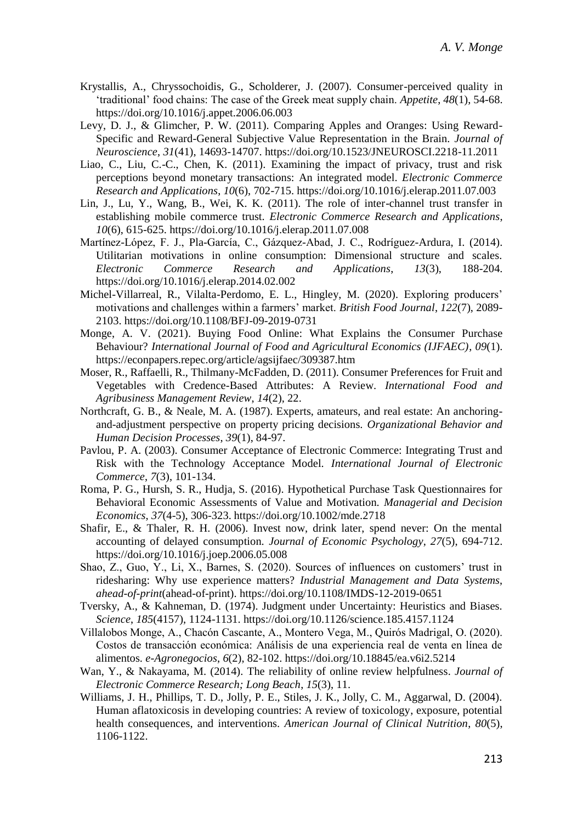- Krystallis, A., Chryssochoidis, G., Scholderer, J. (2007). Consumer-perceived quality in 'traditional' food chains: The case of the Greek meat supply chain. *Appetite*, *48*(1), 54-68. https://doi.org/10.1016/j.appet.2006.06.003
- Levy, D. J., & Glimcher, P. W. (2011). Comparing Apples and Oranges: Using Reward-Specific and Reward-General Subjective Value Representation in the Brain. *Journal of Neuroscience*, *31*(41), 14693-14707. https://doi.org/10.1523/JNEUROSCI.2218-11.2011
- Liao, C., Liu, C.-C., Chen, K. (2011). Examining the impact of privacy, trust and risk perceptions beyond monetary transactions: An integrated model. *Electronic Commerce Research and Applications*, *10*(6), 702-715. https://doi.org/10.1016/j.elerap.2011.07.003
- Lin, J., Lu, Y., Wang, B., Wei, K. K. (2011). The role of inter-channel trust transfer in establishing mobile commerce trust. *Electronic Commerce Research and Applications*, *10*(6), 615-625. https://doi.org/10.1016/j.elerap.2011.07.008
- Martínez-López, F. J., Pla-García, C., Gázquez-Abad, J. C., Rodríguez-Ardura, I. (2014). Utilitarian motivations in online consumption: Dimensional structure and scales. *Electronic Commerce Research and Applications*, *13*(3), 188-204. https://doi.org/10.1016/j.elerap.2014.02.002
- Michel-Villarreal, R., Vilalta-Perdomo, E. L., Hingley, M. (2020). Exploring producers' motivations and challenges within a farmers' market. *British Food Journal*, *122*(7), 2089- 2103. https://doi.org/10.1108/BFJ-09-2019-0731
- Monge, A. V. (2021). Buying Food Online: What Explains the Consumer Purchase Behaviour? *International Journal of Food and Agricultural Economics (IJFAEC)*, *09*(1). https://econpapers.repec.org/article/agsijfaec/309387.htm
- Moser, R., Raffaelli, R., Thilmany-McFadden, D. (2011). Consumer Preferences for Fruit and Vegetables with Credence-Based Attributes: A Review. *International Food and Agribusiness Management Review*, *14*(2), 22.
- Northcraft, G. B., & Neale, M. A. (1987). Experts, amateurs, and real estate: An anchoringand-adjustment perspective on property pricing decisions. *Organizational Behavior and Human Decision Processes*, *39*(1), 84-97.
- Pavlou, P. A. (2003). Consumer Acceptance of Electronic Commerce: Integrating Trust and Risk with the Technology Acceptance Model. *International Journal of Electronic Commerce*, *7*(3), 101-134.
- Roma, P. G., Hursh, S. R., Hudja, S. (2016). Hypothetical Purchase Task Questionnaires for Behavioral Economic Assessments of Value and Motivation. *Managerial and Decision Economics*, *37*(4-5), 306-323. https://doi.org/10.1002/mde.2718
- Shafir, E., & Thaler, R. H. (2006). Invest now, drink later, spend never: On the mental accounting of delayed consumption. *Journal of Economic Psychology*, *27*(5), 694-712. https://doi.org/10.1016/j.joep.2006.05.008
- Shao, Z., Guo, Y., Li, X., Barnes, S. (2020). Sources of influences on customers' trust in ridesharing: Why use experience matters? *Industrial Management and Data Systems*, *ahead-of-print*(ahead-of-print). https://doi.org/10.1108/IMDS-12-2019-0651
- Tversky, A., & Kahneman, D. (1974). Judgment under Uncertainty: Heuristics and Biases. *Science*, *185*(4157), 1124-1131. https://doi.org/10.1126/science.185.4157.1124
- Villalobos Monge, A., Chacón Cascante, A., Montero Vega, M., Quirós Madrigal, O. (2020). Costos de transacción económica: Análisis de una experiencia real de venta en línea de alimentos. *e-Agronegocios*, *6*(2), 82-102. https://doi.org/10.18845/ea.v6i2.5214
- Wan, Y., & Nakayama, M. (2014). The reliability of online review helpfulness. *Journal of Electronic Commerce Research; Long Beach*, *15*(3), 11.
- Williams, J. H., Phillips, T. D., Jolly, P. E., Stiles, J. K., Jolly, C. M., Aggarwal, D. (2004). Human aflatoxicosis in developing countries: A review of toxicology, exposure, potential health consequences, and interventions. *American Journal of Clinical Nutrition*, *80*(5), 1106-1122.